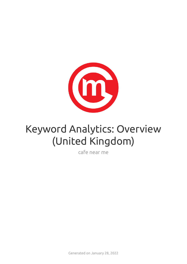

# Keyword Analytics: Overview (United Kingdom)

cafe near me

Generated on January 28, 2022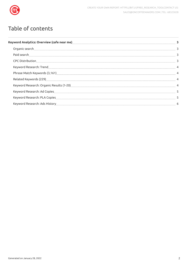

## Table of contents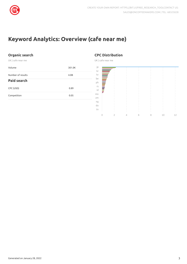

## <span id="page-2-0"></span>**Keyword Analytics: Overview (cafe near me)**

#### <span id="page-2-1"></span>**Organic search**

UK | cafe near me

<span id="page-2-2"></span>

| Volume             | 301.0K |
|--------------------|--------|
| Number of results  | 4.0B   |
| <b>Paid search</b> |        |
| CPC (USD)          | 0.89   |
| Competition        | 0.05   |
|                    |        |

#### <span id="page-2-3"></span>**CPC Distribution**

UK | cafe near me

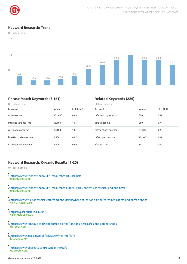

#### <span id="page-3-0"></span>**Keyword Research: Trend**

UK | cafe near me



#### <span id="page-3-1"></span>**Phrase Match Keywords (3,161)**

#### <span id="page-3-2"></span>**Related Keywords (229)**

| UK   cafe near me      |         |           | UK   cafe near me     |        |           |  |
|------------------------|---------|-----------|-----------------------|--------|-----------|--|
| Keyword                | Volume  | CPC (USD) | Keyword               | Volume | CPC (USD) |  |
| cafe near me           | 301,000 | 0.89      | cafe near my location | 390    | 0.81      |  |
| internet cafe near me  | 18,100  | 1.05      | cafe's near me        | 880    | 0.94      |  |
| cafes open near me     | 12,100  | 1.01      | coffee shops near me  | 74,000 | 0.93      |  |
| breakfast cafe near me | 6,600   | 0.87      | cafes open near me    | 12,100 | 1.01      |  |
| cafe near me open now  | 6,600   | 0.89      | afes near me          | 70     | 0.00      |  |

#### <span id="page-3-3"></span>**Keyword Research: Organic Results (1-20)**

UK | cafe near me

- 1 <https://www.tripadvisor.co.uk/Restaurants-c8-Cafe.html> tripadvisor.co.uk
- 2 [https://www.tripadvisor.co.uk/Restaurants-g503933-c8-Chorley\\_Lancashire\\_England.html](https://www.tripadvisor.co.uk/Restaurants-g503933-c8-Chorley_Lancashire_England.html) tripadvisor.co.uk
- 3 https://www.visitlancashire.com/food-and-drink/where-to-eat-and-drink/cafes-tea-rooms-and-coffee-shops visitlancashire.com
- 4 <https://cafenucleus.co.uk/> cafenucleus.co.uk
- 5 https://www.timeout.com/london/food-drink/londons-best-cafes-and-coffee-shops timeout.com
- 6 <https://www.just-eat.co.uk/takeaway/nearme/cafe> just-eat.co.uk
- 7 <https://www.ubereats.com/gb/near-me/cafe> ubereats.com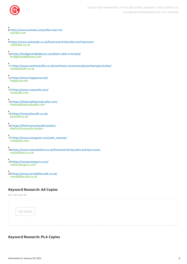

- 8 <https://www.zomato.com/cafes-near-me> zomato.com
- 9 <https://www.visitstoke.co.uk/food-and-drink/cafes-and-tearooms> visitstoke.co.uk
- 10 <https://bridgesandballoons.com/best-cafes-in-bristol/> bridgesandballoons.com
- 11 <https://www.northantslife.co.uk/northants-recommends/northampton/cafes/> northantslife.co.uk
- 12 <https://www.happycow.net/> happycow.net
- 13 <https://www.rosascafe.com/> rosascafe.com
- 14 <https://thebreakfastclubcafes.com/> thebreakfastclubcafes.com
- 15 <https://www.phocafe.co.uk/> phocafe.co.uk
- 16 <https://thefrontroomcafe.london/> thefrontroomcafe.london
- 17 [https://www.instagram.com/cafe\\_nearme/](https://www.instagram.com/cafe_nearme/) instagram.com
- 18 <https://www.visitwiltshire.co.uk/food-and-drink/cafes-and-tea-rooms> visitwiltshire.co.uk
- 19 <https://restaurantguru.com/> restaurantguru.com
- 20 <https://www.cerealkillercafe.co.uk/> cerealkillercafe.co.uk

#### <span id="page-4-0"></span>**Keyword Research: Ad Copies**

UK | cafe near me



#### <span id="page-4-1"></span>**Keyword Research: PLA Copies**